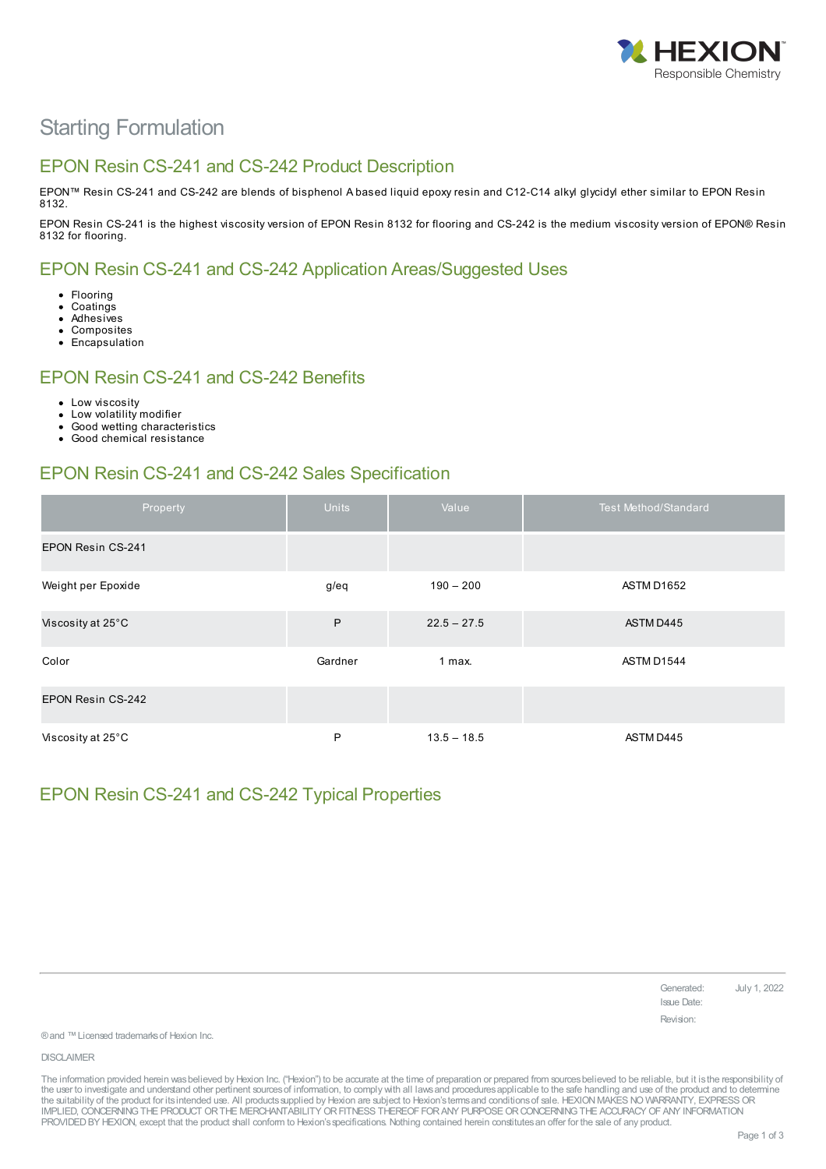

# Starting Formulation

### EPON Resin CS-241 and CS-242 Product Description

EPON™ Resin CS-241 and CS-242 are blends of bisphenol A based liquid epoxy resin and C12-C14 alkyl glycidyl ether similar to EPON Resin 8132.

EPON Resin CS-241 is the highest viscosity version of EPON Resin 8132 for flooring and CS-242 is the medium viscosity version of EPON® Resin 8132 for flooring.

## EPON Resin CS-241 and CS-242 Application Areas/Suggested Uses

- Flooring
- Coatings Adhesives
- Composites
- Encapsulation

### EPON Resin CS-241 and CS-242 Benefits

- Low viscosity
- Low volatility modifier
- Good wetting characteristics  $\ddot{\phantom{1}}$
- Good chemical resistance

### EPON Resin CS-241 and CS-242 Sales Specification

| Property                 | <b>Units</b> | Value         | Test Method/Standard |  |
|--------------------------|--------------|---------------|----------------------|--|
| EPON Resin CS-241        |              |               |                      |  |
| Weight per Epoxide       | g/eq         | $190 - 200$   | ASTM D1652           |  |
| Viscosity at 25°C        | P            | $22.5 - 27.5$ | ASTM D445            |  |
| Color                    | Gardner      | $1$ max.      | ASTM D1544           |  |
| <b>EPON Resin CS-242</b> |              |               |                      |  |
| Viscosity at 25°C        | P            | $13.5 - 18.5$ | ASTM D445            |  |

## EPON Resin CS-241 and CS-242 Typical Properties

| Generated:  | July 1, 2022 |
|-------------|--------------|
| Issue Date: |              |
| Revision:   |              |

® and ™ Licensed trademarks of Hexion Inc.

DISCLAIMER

The information provided herein was believed by Hexion Inc. ("Hexion") to be accurate at the time of preparation or prepared from sources believed to be reliable, but it is the responsibility of the user to investigate and understand other pertinent sources of information, to comply with all laws and procedures applicable to the safe handling and use of the product and to determine the suitability of the product for its intended use. All products supplied by Hexion are subject to Hexion's terms and conditions of sale. HEXION MAKES NO WARRANTY, EXPRESS OR<br>IMPLIED, CONCERNING THE PRODUCT OR THE MERCHAN PROVIDEDBY HEXION, except that the product shall conform to Hexion'sspecifications. Nothing contained herein constitutesan offer for the sale of any product.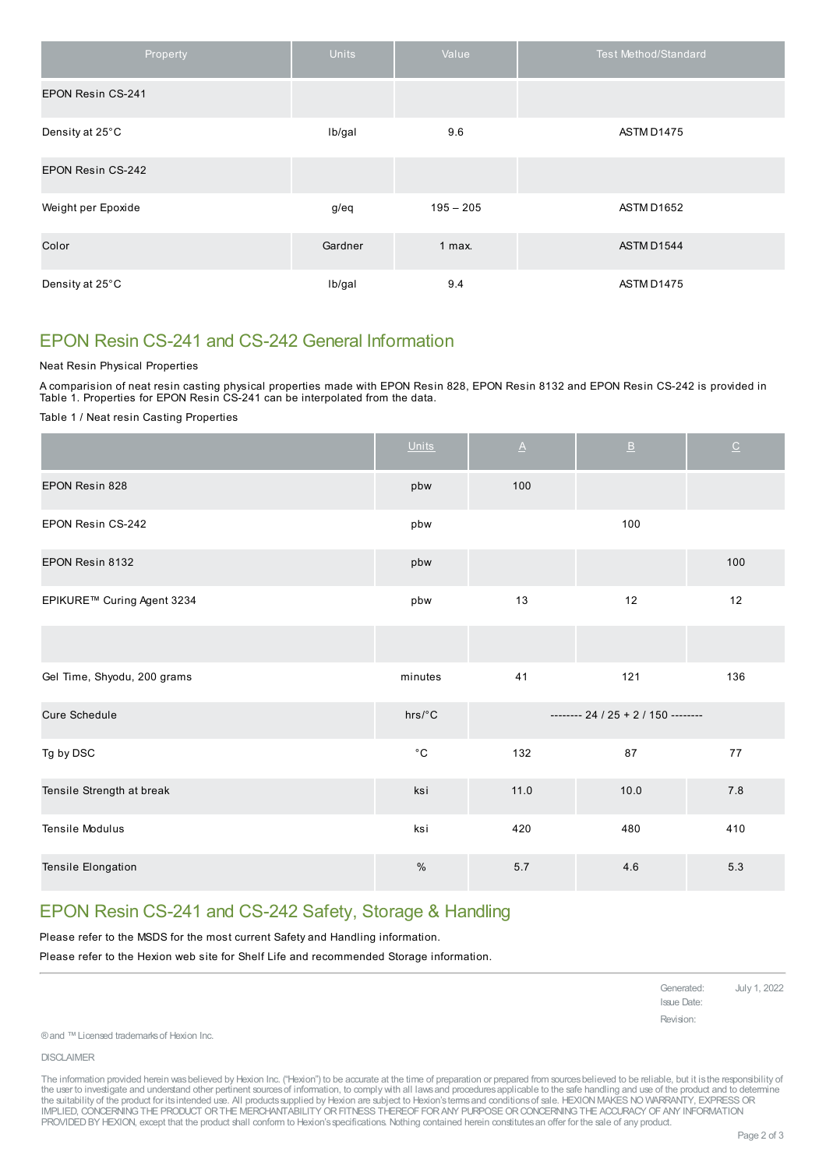| Property           | <b>Units</b> | Value       | <b>Test Method/Standard</b> |  |
|--------------------|--------------|-------------|-----------------------------|--|
| EPON Resin CS-241  |              |             |                             |  |
| Density at 25°C    | Ib/gal       | 9.6         | <b>ASTM D1475</b>           |  |
| EPON Resin CS-242  |              |             |                             |  |
| Weight per Epoxide | g/eq         | $195 - 205$ | ASTM D1652                  |  |
| Color              | Gardner      | $1$ max.    | ASTM D1544                  |  |
| Density at 25°C    | Ib/gal       | 9.4         | ASTM D1475                  |  |

## EPON Resin CS-241 and CS-242 General Information

#### Neat Resin Physical Properties

A comparision of neat resin casting physical properties made with EPON Resin 828, EPON Resin 8132 and EPON Resin CS-242 is provided in Table 1. Properties for EPON Resin CS-241 can be interpolated from the data.

Table 1 / Neat resin Casting Properties

|                             | <b>Units</b> | $\underline{\mathsf{A}}$            | $\ensuremath{\mathsf{B}}$ | $\underline{\texttt{C}}$ |
|-----------------------------|--------------|-------------------------------------|---------------------------|--------------------------|
| EPON Resin 828              | pbw          | 100                                 |                           |                          |
| EPON Resin CS-242           | pbw          |                                     | 100                       |                          |
| EPON Resin 8132             | pbw          |                                     |                           | 100                      |
| EPIKURE™ Curing Agent 3234  | pbw          | 13                                  | 12                        | $12$                     |
|                             |              |                                     |                           |                          |
| Gel Time, Shyodu, 200 grams | minutes      | 41                                  | 121                       | 136                      |
| <b>Cure Schedule</b>        | hrs/°C       | -------- 24 / 25 + 2 / 150 -------- |                           |                          |
| Tg by DSC                   | $^{\circ}$ C | 132                                 | 87                        | 77                       |
| Tensile Strength at break   | ksi          | 11.0                                | 10.0                      | $7.8\,$                  |
| Tensile Modulus             | ksi          | 420                                 | 480                       | 410                      |
| Tensile Elongation          | $\%$         | $5.7$                               | 4.6                       | 5.3                      |

## EPON Resin CS-241 and CS-242 Safety, Storage & Handling

Please refer to the MSDS for the most current Safety and Handling information.

Please refer to the Hexion web site for Shelf Life and recommended Storage information.

Generated: July 1, 2022 Issue Date: Revision:

® and ™ Licensed trademarks of Hexion Inc.

DISCLAIMER

The information provided herein was believed by Hexion Inc. ("Hexion") to be accurate at the time of preparation or prepared from sources believed to be reliable, but it is the responsibility of the user to investigate and understand other pertinent sources of information, to comply with all laws and procedures applicable to the safe handling and use of the product and to determine the suitability of the product for its intended use. All products supplied by Hexion are subject to Hexion's terms and conditions of sale. HEXION MAKES NO WARRANTY, EXPRESS OR<br>IMPLIED, CONCERNING THE PRODUCT OR THE MERCHAN PROVIDED BY HEXION, except that the product shall conform to Hexion's specifications. Nothing contained herein constitutes an offer for the sale of any product.